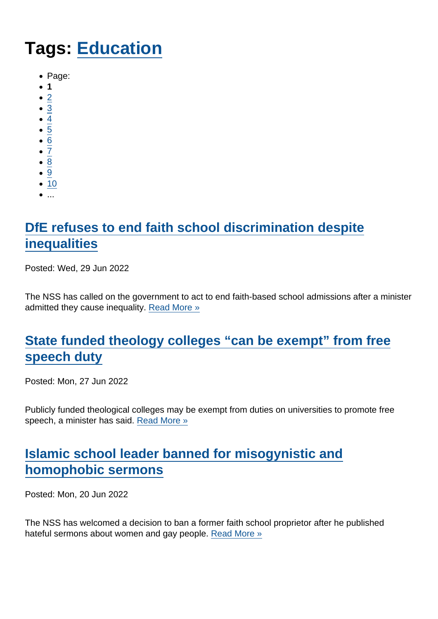# Tags: [Education](https://www.secularism.org.uk/news/tags/Education)

- Page:
- 1
- $\bullet$  [2](/mnt/web-data/www/cp-nss/news/tags/Education)
- [3](/mnt/web-data/www/cp-nss/news/tags/Education)
- $\bullet$  [4](/mnt/web-data/www/cp-nss/news/tags/Education)
- [5](/mnt/web-data/www/cp-nss/news/tags/Education)
- [6](/mnt/web-data/www/cp-nss/news/tags/Education)
- $\overline{7}$  $\overline{7}$  $\overline{7}$
- [8](/mnt/web-data/www/cp-nss/news/tags/Education)  $\bullet$
- [9](/mnt/web-data/www/cp-nss/news/tags/Education)
- $10$  $10$
- $\bullet$  ...

# [DfE refuses to end faith school discrimination despite](https://www.secularism.org.uk/news/2022/06/dfe-refuses-to-end-faith-school-discrimination-despite-inequalities) **[inequalities](https://www.secularism.org.uk/news/2022/06/dfe-refuses-to-end-faith-school-discrimination-despite-inequalities)**

Posted: Wed, 29 Jun 2022

The NSS has called on the government to act to end faith-based school admissions after a minister admitted they cause inequality. [Read More »](https://www.secularism.org.uk/news/2022/06/dfe-refuses-to-end-faith-school-discrimination-despite-inequalities)

# [State funded theology colleges "can be exempt" from free](https://www.secularism.org.uk/news/2022/06/state-funded-theology-colleges-can-be-exempt-from-free-speech-duty) [speech duty](https://www.secularism.org.uk/news/2022/06/state-funded-theology-colleges-can-be-exempt-from-free-speech-duty)

Posted: Mon, 27 Jun 2022

Publicly funded theological colleges may be exempt from duties on universities to promote free speech, a minister has said. [Read More »](https://www.secularism.org.uk/news/2022/06/state-funded-theology-colleges-can-be-exempt-from-free-speech-duty)

# [Islamic school leader banned for misogynistic and](https://www.secularism.org.uk/news/2022/06/islamic-school-leader-banned-for-misogynistic-and-homophobic-sermons) [homophobic sermons](https://www.secularism.org.uk/news/2022/06/islamic-school-leader-banned-for-misogynistic-and-homophobic-sermons)

Posted: Mon, 20 Jun 2022

The NSS has welcomed a decision to ban a former faith school proprietor after he published hateful sermons about women and gay people. [Read More »](https://www.secularism.org.uk/news/2022/06/islamic-school-leader-banned-for-misogynistic-and-homophobic-sermons)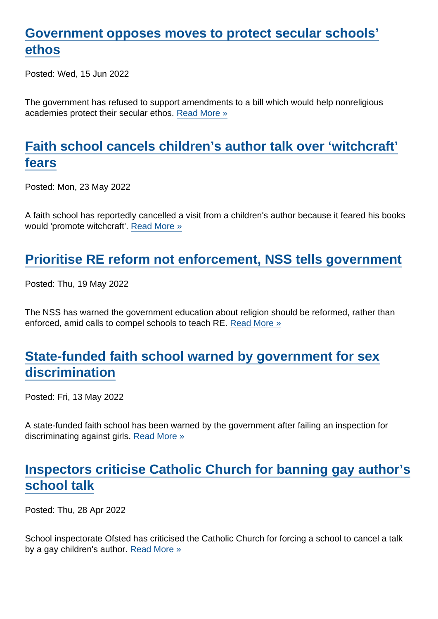#### [Government opposes moves to protect secular schools'](https://www.secularism.org.uk/news/2022/06/government-opposes-moves-to-protect-secular-schools-ethos) [ethos](https://www.secularism.org.uk/news/2022/06/government-opposes-moves-to-protect-secular-schools-ethos)

Posted: Wed, 15 Jun 2022

The government has refused to support amendments to a bill which would help nonreligious academies protect their secular ethos. [Read More »](https://www.secularism.org.uk/news/2022/06/government-opposes-moves-to-protect-secular-schools-ethos)

## [Faith school cancels children's author talk over 'witchcraft'](https://www.secularism.org.uk/news/2022/05/faith-school-cancels-childrens-author-talk-over-witchcraft-fears) [fears](https://www.secularism.org.uk/news/2022/05/faith-school-cancels-childrens-author-talk-over-witchcraft-fears)

Posted: Mon, 23 May 2022

A faith school has reportedly cancelled a visit from a children's author because it feared his books would 'promote witchcraft'. [Read More »](https://www.secularism.org.uk/news/2022/05/faith-school-cancels-childrens-author-talk-over-witchcraft-fears)

#### [Prioritise RE reform not enforcement, NSS tells government](https://www.secularism.org.uk/news/2022/05/prioritise-re-reform-not-enforcement-nss-tells-government)

Posted: Thu, 19 May 2022

The NSS has warned the government education about religion should be reformed, rather than enforced, amid calls to compel schools to teach RE. [Read More »](https://www.secularism.org.uk/news/2022/05/prioritise-re-reform-not-enforcement-nss-tells-government)

#### [State-funded faith school warned by government for sex](https://www.secularism.org.uk/news/2022/05/state-funded-faith-school-warned-by-government-for-sex-discrimination) [discrimination](https://www.secularism.org.uk/news/2022/05/state-funded-faith-school-warned-by-government-for-sex-discrimination)

Posted: Fri, 13 May 2022

A state-funded faith school has been warned by the government after failing an inspection for discriminating against girls. [Read More »](https://www.secularism.org.uk/news/2022/05/state-funded-faith-school-warned-by-government-for-sex-discrimination)

## [Inspectors criticise Catholic Church for banning gay author's](https://www.secularism.org.uk/news/2022/04/inspectors-criticise-catholic-church-for-banning-gay-authors-school-talk) [school talk](https://www.secularism.org.uk/news/2022/04/inspectors-criticise-catholic-church-for-banning-gay-authors-school-talk)

Posted: Thu, 28 Apr 2022

School inspectorate Ofsted has criticised the Catholic Church for forcing a school to cancel a talk by a gay children's author. [Read More »](https://www.secularism.org.uk/news/2022/04/inspectors-criticise-catholic-church-for-banning-gay-authors-school-talk)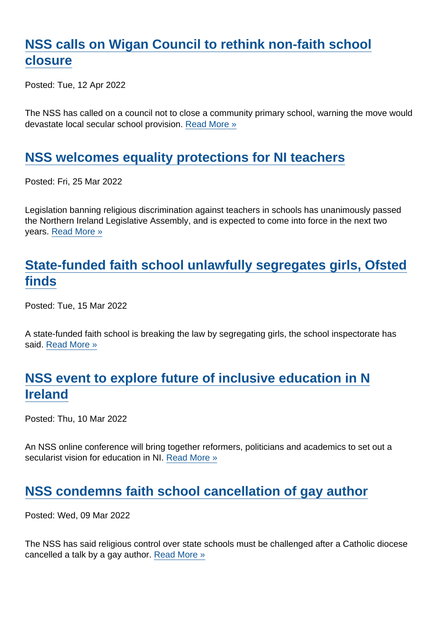## [NSS calls on Wigan Council to rethink non-faith school](https://www.secularism.org.uk/news/2022/04/nss-calls-on-wigan-council-to-rethink-non-faith-school-closure) [closure](https://www.secularism.org.uk/news/2022/04/nss-calls-on-wigan-council-to-rethink-non-faith-school-closure)

Posted: Tue, 12 Apr 2022

The NSS has called on a council not to close a community primary school, warning the move would devastate local secular school provision. [Read More »](https://www.secularism.org.uk/news/2022/04/nss-calls-on-wigan-council-to-rethink-non-faith-school-closure)

#### [NSS welcomes equality protections for NI teachers](https://www.secularism.org.uk/news/2022/03/nss-welcomes-equality-protections-for-ni-teachers)

Posted: Fri, 25 Mar 2022

Legislation banning religious discrimination against teachers in schools has unanimously passed the Northern Ireland Legislative Assembly, and is expected to come into force in the next two years. [Read More »](https://www.secularism.org.uk/news/2022/03/nss-welcomes-equality-protections-for-ni-teachers)

## [State-funded faith school unlawfully segregates girls, Ofsted](https://www.secularism.org.uk/news/2022/03/state-funded-faith-school-unlawfully-segregates-girls-ofsted-finds) [finds](https://www.secularism.org.uk/news/2022/03/state-funded-faith-school-unlawfully-segregates-girls-ofsted-finds)

Posted: Tue, 15 Mar 2022

A state-funded faith school is breaking the law by segregating girls, the school inspectorate has said. [Read More »](https://www.secularism.org.uk/news/2022/03/state-funded-faith-school-unlawfully-segregates-girls-ofsted-finds)

## [NSS event to explore future of inclusive education in N](https://www.secularism.org.uk/news/2022/03/nss-event-to-explore-future-of-inclusive-education-in-n-ireland) [Ireland](https://www.secularism.org.uk/news/2022/03/nss-event-to-explore-future-of-inclusive-education-in-n-ireland)

Posted: Thu, 10 Mar 2022

An NSS online conference will bring together reformers, politicians and academics to set out a secularist vision for education in NI. [Read More »](https://www.secularism.org.uk/news/2022/03/nss-event-to-explore-future-of-inclusive-education-in-n-ireland)

#### [NSS condemns faith school cancellation of gay author](https://www.secularism.org.uk/news/2022/03/nss-condemns-faith-school-cancellation-of-gay-author)

Posted: Wed, 09 Mar 2022

The NSS has said religious control over state schools must be challenged after a Catholic diocese cancelled a talk by a gay author. [Read More »](https://www.secularism.org.uk/news/2022/03/nss-condemns-faith-school-cancellation-of-gay-author)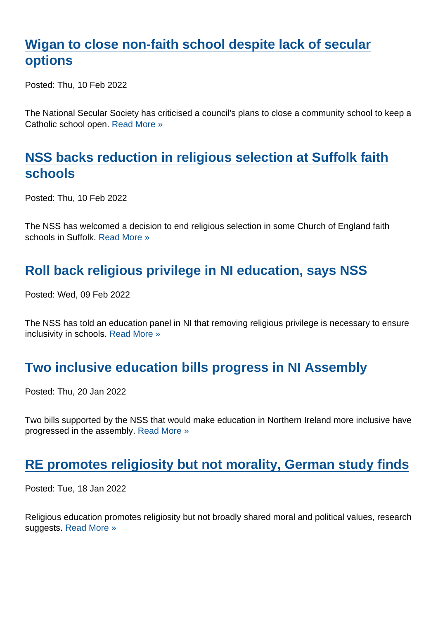## [Wigan to close non-faith school despite lack of secular](https://www.secularism.org.uk/news/2022/02/wigan-to-close-non-faith-school-despite-lack-of-secular-options) [options](https://www.secularism.org.uk/news/2022/02/wigan-to-close-non-faith-school-despite-lack-of-secular-options)

Posted: Thu, 10 Feb 2022

The National Secular Society has criticised a council's plans to close a community school to keep a Catholic school open. [Read More »](https://www.secularism.org.uk/news/2022/02/wigan-to-close-non-faith-school-despite-lack-of-secular-options)

## [NSS backs reduction in religious selection at Suffolk faith](https://www.secularism.org.uk/news/2022/02/nss-backs-reduction-in-religious-selection-at-suffolk-faith-schools) [schools](https://www.secularism.org.uk/news/2022/02/nss-backs-reduction-in-religious-selection-at-suffolk-faith-schools)

Posted: Thu, 10 Feb 2022

The NSS has welcomed a decision to end religious selection in some Church of England faith schools in Suffolk. [Read More »](https://www.secularism.org.uk/news/2022/02/nss-backs-reduction-in-religious-selection-at-suffolk-faith-schools)

## [Roll back religious privilege in NI education, says NSS](https://www.secularism.org.uk/news/2022/02/roll-back-religious-privilege-in-ni-education-says-nss)

Posted: Wed, 09 Feb 2022

The NSS has told an education panel in NI that removing religious privilege is necessary to ensure inclusivity in schools. [Read More »](https://www.secularism.org.uk/news/2022/02/roll-back-religious-privilege-in-ni-education-says-nss)

#### [Two inclusive education bills progress in NI Assembly](https://www.secularism.org.uk/news/2022/01/two-inclusive-education-bills-progress-in-ni-assembly)

Posted: Thu, 20 Jan 2022

Two bills supported by the NSS that would make education in Northern Ireland more inclusive have progressed in the assembly. [Read More »](https://www.secularism.org.uk/news/2022/01/two-inclusive-education-bills-progress-in-ni-assembly)

#### [RE promotes religiosity but not morality, German study finds](https://www.secularism.org.uk/news/2022/01/re-promotes-religiosity-but-not-morality-german-study-finds)

Posted: Tue, 18 Jan 2022

Religious education promotes religiosity but not broadly shared moral and political values, research suggests. [Read More »](https://www.secularism.org.uk/news/2022/01/re-promotes-religiosity-but-not-morality-german-study-finds)